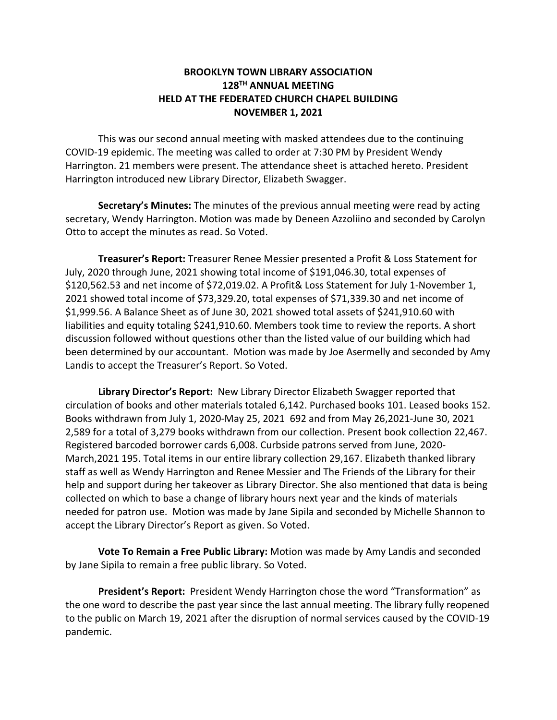## **BROOKLYN TOWN LIBRARY ASSOCIATION 128TH ANNUAL MEETING HELD AT THE FEDERATED CHURCH CHAPEL BUILDING NOVEMBER 1, 2021**

This was our second annual meeting with masked attendees due to the continuing COVID-19 epidemic. The meeting was called to order at 7:30 PM by President Wendy Harrington. 21 members were present. The attendance sheet is attached hereto. President Harrington introduced new Library Director, Elizabeth Swagger.

**Secretary's Minutes:** The minutes of the previous annual meeting were read by acting secretary, Wendy Harrington. Motion was made by Deneen Azzoliino and seconded by Carolyn Otto to accept the minutes as read. So Voted.

**Treasurer's Report:** Treasurer Renee Messier presented a Profit & Loss Statement for July, 2020 through June, 2021 showing total income of \$191,046.30, total expenses of \$120,562.53 and net income of \$72,019.02. A Profit& Loss Statement for July 1-November 1, 2021 showed total income of \$73,329.20, total expenses of \$71,339.30 and net income of \$1,999.56. A Balance Sheet as of June 30, 2021 showed total assets of \$241,910.60 with liabilities and equity totaling \$241,910.60. Members took time to review the reports. A short discussion followed without questions other than the listed value of our building which had been determined by our accountant. Motion was made by Joe Asermelly and seconded by Amy Landis to accept the Treasurer's Report. So Voted.

**Library Director's Report:** New Library Director Elizabeth Swagger reported that circulation of books and other materials totaled 6,142. Purchased books 101. Leased books 152. Books withdrawn from July 1, 2020-May 25, 2021 692 and from May 26,2021-June 30, 2021 2,589 for a total of 3,279 books withdrawn from our collection. Present book collection 22,467. Registered barcoded borrower cards 6,008. Curbside patrons served from June, 2020- March,2021 195. Total items in our entire library collection 29,167. Elizabeth thanked library staff as well as Wendy Harrington and Renee Messier and The Friends of the Library for their help and support during her takeover as Library Director. She also mentioned that data is being collected on which to base a change of library hours next year and the kinds of materials needed for patron use. Motion was made by Jane Sipila and seconded by Michelle Shannon to accept the Library Director's Report as given. So Voted.

**Vote To Remain a Free Public Library:** Motion was made by Amy Landis and seconded by Jane Sipila to remain a free public library. So Voted.

**President's Report:** President Wendy Harrington chose the word "Transformation" as the one word to describe the past year since the last annual meeting. The library fully reopened to the public on March 19, 2021 after the disruption of normal services caused by the COVID-19 pandemic.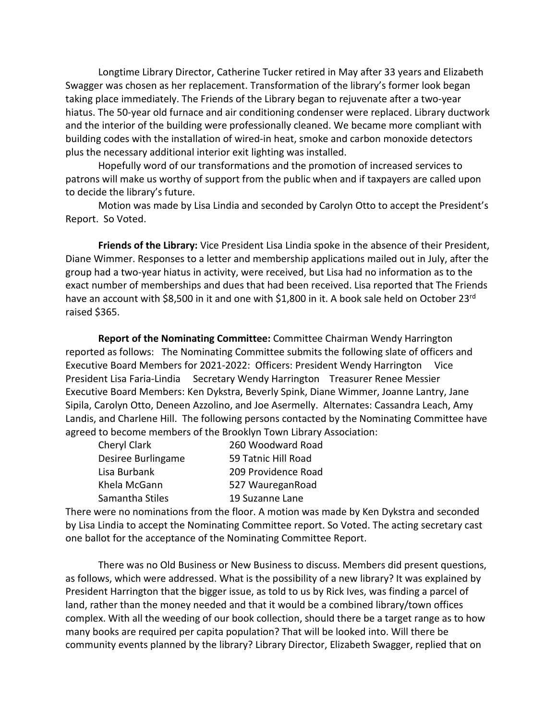Longtime Library Director, Catherine Tucker retired in May after 33 years and Elizabeth Swagger was chosen as her replacement. Transformation of the library's former look began taking place immediately. The Friends of the Library began to rejuvenate after a two-year hiatus. The 50-year old furnace and air conditioning condenser were replaced. Library ductwork and the interior of the building were professionally cleaned. We became more compliant with building codes with the installation of wired-in heat, smoke and carbon monoxide detectors plus the necessary additional interior exit lighting was installed.

Hopefully word of our transformations and the promotion of increased services to patrons will make us worthy of support from the public when and if taxpayers are called upon to decide the library's future.

Motion was made by Lisa Lindia and seconded by Carolyn Otto to accept the President's Report. So Voted.

**Friends of the Library:** Vice President Lisa Lindia spoke in the absence of their President, Diane Wimmer. Responses to a letter and membership applications mailed out in July, after the group had a two-year hiatus in activity, were received, but Lisa had no information as to the exact number of memberships and dues that had been received. Lisa reported that The Friends have an account with \$8,500 in it and one with \$1,800 in it. A book sale held on October 23rd raised \$365.

**Report of the Nominating Committee:** Committee Chairman Wendy Harrington reported as follows: The Nominating Committee submits the following slate of officers and Executive Board Members for 2021-2022: Officers: President Wendy Harrington Vice President Lisa Faria-Lindia Secretary Wendy Harrington Treasurer Renee Messier Executive Board Members: Ken Dykstra, Beverly Spink, Diane Wimmer, Joanne Lantry, Jane Sipila, Carolyn Otto, Deneen Azzolino, and Joe Asermelly. Alternates: Cassandra Leach, Amy Landis, and Charlene Hill. The following persons contacted by the Nominating Committee have agreed to become members of the Brooklyn Town Library Association:

| Cheryl Clark       | 260 Woodward Road   |
|--------------------|---------------------|
| Desiree Burlingame | 59 Tatnic Hill Road |
| Lisa Burbank       | 209 Providence Road |
| Khela McGann       | 527 WaureganRoad    |
| Samantha Stiles    | 19 Suzanne Lane     |

There were no nominations from the floor. A motion was made by Ken Dykstra and seconded by Lisa Lindia to accept the Nominating Committee report. So Voted. The acting secretary cast one ballot for the acceptance of the Nominating Committee Report.

There was no Old Business or New Business to discuss. Members did present questions, as follows, which were addressed. What is the possibility of a new library? It was explained by President Harrington that the bigger issue, as told to us by Rick Ives, was finding a parcel of land, rather than the money needed and that it would be a combined library/town offices complex. With all the weeding of our book collection, should there be a target range as to how many books are required per capita population? That will be looked into. Will there be community events planned by the library? Library Director, Elizabeth Swagger, replied that on